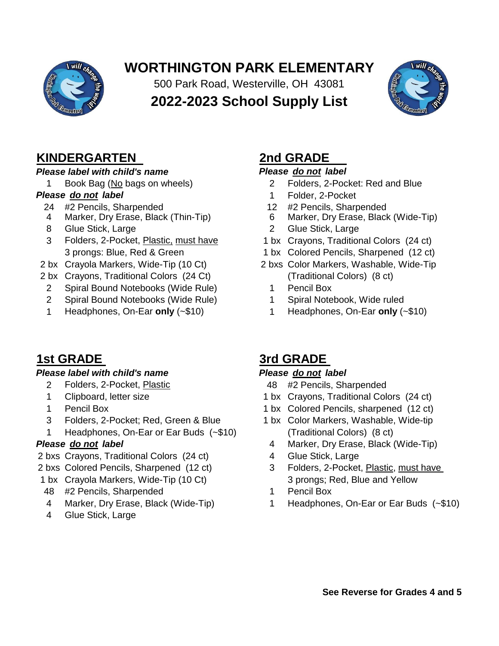

# **WORTHINGTON PARK ELEMENTARY**

**2022-2023 School Supply List** 500 Park Road, Westerville, OH 43081



## **KINDERGARTEN 2nd GRADE**

## *Please label with child's name Please do not label*

- 
- 24 #2 Pencils, Sharpended<br>
24 #2 Pencils, Sharpended<br>
2 #2 Pencils, Sharpended<br>
6 Marker, Dry Erase, Black<br>
12 #2 Pencils, Sharpended
- 
- 3 Folders, 2-Pocket, Plastic, must have 1 bx Crayons, Traditional Colors (24 ct)
- 
- 2 bx Crayons, Traditional Colors (24 Ct) (Traditional Colors) (8 ct)
	- 2 Spiral Bound Notebooks (Wide Rule) 1 Pencil Box
	- 2 Spiral Bound Notebooks (Wide Rule) 1 Spiral Notebook, Wide ruled
	-

## *Please label with child's name Please do not label*

- 2 Folders, 2-Pocket, Plastic 48 #2 Pencils, Sharpended
- 
- 
- 3 Folders, 2-Pocket; Red, Green & Blue 1 bx Color Markers, Washable, Wide-tip
- 1 Headphones, On-Ear or Ear Buds (~\$10) (Traditional Colors) (8 ct)

- 2 bxs Crayons, Traditional Colors (24 ct) 4 Glue Stick, Large
- 
- 1 bx Crayola Markers, Wide-Tip (10 Ct) 3 prongs; Red, Blue and Yellow
	- 48 #2 Pencils, Sharpended 1 Pencil Box
	-
	- 4 Glue Stick, Large

- 1 Book Bag (No bags on wheels) 2 Folders, 2-Pocket: Red and Blue
- *Please do not label* 1 Folder, 2-Pocket
	-
	- 4 Marker, Dry Erase, Black (Thin-Tip) 6 Marker, Dry Erase, Black (Wide-Tip)
	- 8 Glue Stick, Large 2 Glue Stick, Large
		-
		- 3 prongs: Blue, Red & Green 1 bx Colored Pencils, Sharpened (12 ct)
- 2 bx Crayola Markers, Wide-Tip (10 Ct) 2 bxs Color Markers, Washable, Wide-Tip
	-
	-
	- 1 Headphones, On-Ear **only** (~\$10) 1 Headphones, On-Ear **only** (~\$10)

## **1st GRADE 3rd GRADE**

- 
- 1 Clipboard, letter size 1 bx Crayons, Traditional Colors (24 ct)
- 1 Pencil Box 1 bx Colored Pencils, sharpened (12 ct)
	-
- **Please do not label All and Series 2008** 4 Marker, Dry Erase, Black (Wide-Tip)
	-
- 2 bxs Colored Pencils, Sharpened (12 ct) 3 Folders, 2-Pocket, Plastic, must have
	-
	- 4 Marker, Dry Erase, Black (Wide-Tip) 1 Headphones, On-Ear or Ear Buds (~\$10)